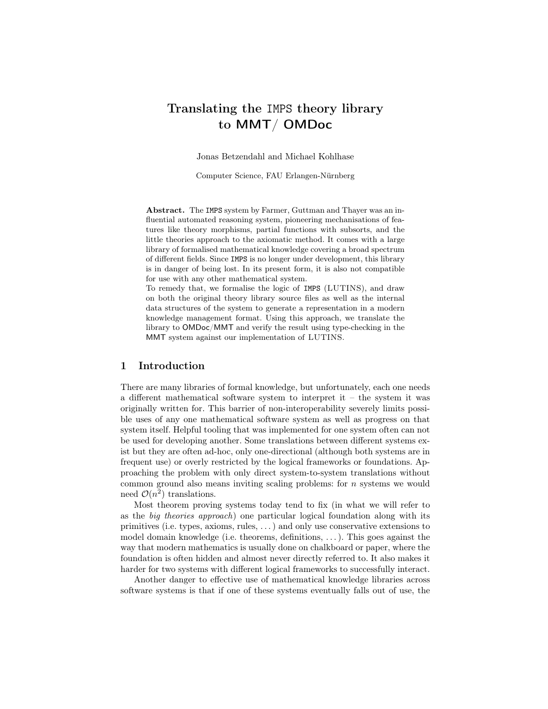# Translating the IMPS theory library to MMT/ OMDoc

Jonas Betzendahl and Michael Kohlhase

Computer Science, FAU Erlangen-Nürnberg

Abstract. The IMPS system by Farmer, Guttman and Thayer was an influential automated reasoning system, pioneering mechanisations of features like theory morphisms, partial functions with subsorts, and the little theories approach to the axiomatic method. It comes with a large library of formalised mathematical knowledge covering a broad spectrum of different fields. Since IMPS is no longer under development, this library is in danger of being lost. In its present form, it is also not compatible for use with any other mathematical system.

To remedy that, we formalise the logic of IMPS (LUTINS), and draw on both the original theory library source files as well as the internal data structures of the system to generate a representation in a modern knowledge management format. Using this approach, we translate the library to OMDoc/MMT and verify the result using type-checking in the MMT system against our implementation of LUTINS.

#### 1 Introduction

There are many libraries of formal knowledge, but unfortunately, each one needs a different mathematical software system to interpret it – the system it was originally written for. This barrier of non-interoperability severely limits possible uses of any one mathematical software system as well as progress on that system itself. Helpful tooling that was implemented for one system often can not be used for developing another. Some translations between different systems exist but they are often ad-hoc, only one-directional (although both systems are in frequent use) or overly restricted by the logical frameworks or foundations. Approaching the problem with only direct system-to-system translations without common ground also means inviting scaling problems: for  $n$  systems we would need  $\mathcal{O}(n^2)$  translations.

Most theorem proving systems today tend to fix (in what we will refer to as the big theories approach) one particular logical foundation along with its primitives (i.e. types, axioms, rules, . . . ) and only use conservative extensions to model domain knowledge (i.e. theorems, definitions, . . . ). This goes against the way that modern mathematics is usually done on chalkboard or paper, where the foundation is often hidden and almost never directly referred to. It also makes it harder for two systems with different logical frameworks to successfully interact.

Another danger to effective use of mathematical knowledge libraries across software systems is that if one of these systems eventually falls out of use, the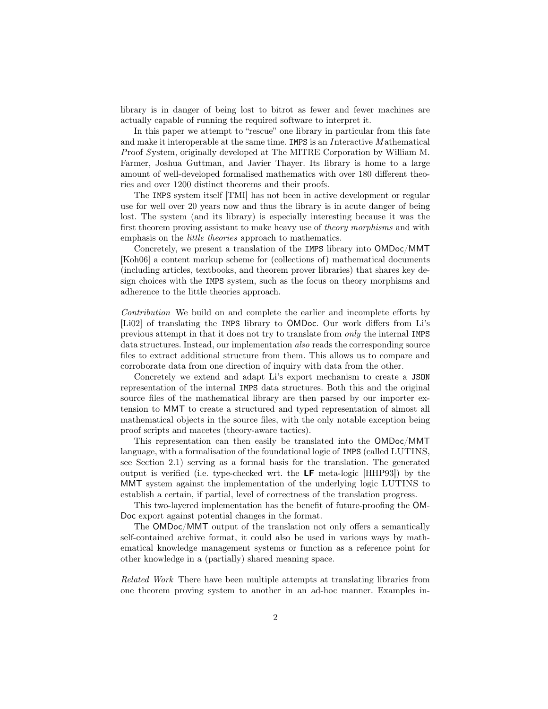library is in danger of being lost to bitrot as fewer and fewer machines are actually capable of running the required software to interpret it.

In this paper we attempt to "rescue" one library in particular from this fate and make it interoperable at the same time. IMPS is an I nteractive M athematical Proof System, originally developed at The MITRE Corporation by William M. Farmer, Joshua Guttman, and Javier Thayer. Its library is home to a large amount of well-developed formalised mathematics with over 180 different theories and over 1200 distinct theorems and their proofs.

The IMPS system itself [\[TMI\]](#page-15-0) has not been in active development or regular use for well over 20 years now and thus the library is in acute danger of being lost. The system (and its library) is especially interesting because it was the first theorem proving assistant to make heavy use of theory morphisms and with emphasis on the *little theories* approach to mathematics.

Concretely, we present a translation of the IMPS library into OMDoc/MMT [\[Koh06\]](#page-14-0) a content markup scheme for (collections of) mathematical documents (including articles, textbooks, and theorem prover libraries) that shares key design choices with the IMPS system, such as the focus on theory morphisms and adherence to the little theories approach.

Contribution We build on and complete the earlier and incomplete efforts by [\[Li02\]](#page-15-1) of translating the IMPS library to OMDoc. Our work differs from Li's previous attempt in that it does not try to translate from only the internal IMPS data structures. Instead, our implementation also reads the corresponding source files to extract additional structure from them. This allows us to compare and corroborate data from one direction of inquiry with data from the other.

Concretely we extend and adapt Li's export mechanism to create a JSON representation of the internal IMPS data structures. Both this and the original source files of the mathematical library are then parsed by our importer extension to MMT to create a structured and typed representation of almost all mathematical objects in the source files, with the only notable exception being proof scripts and macetes (theory-aware tactics).

This representation can then easily be translated into the OMDoc/MMT language, with a formalisation of the foundational logic of IMPS (called LUTINS, see Section [2.1\)](#page-2-0) serving as a formal basis for the translation. The generated output is verified (i.e. type-checked wrt. the LF meta-logic [\[HHP93\]](#page-14-1)) by the MMT system against the implementation of the underlying logic LUTINS to establish a certain, if partial, level of correctness of the translation progress.

This two-layered implementation has the benefit of future-proofing the OM-Doc export against potential changes in the format.

The OMDoc/MMT output of the translation not only offers a semantically self-contained archive format, it could also be used in various ways by mathematical knowledge management systems or function as a reference point for other knowledge in a (partially) shared meaning space.

Related Work There have been multiple attempts at translating libraries from one theorem proving system to another in an ad-hoc manner. Examples in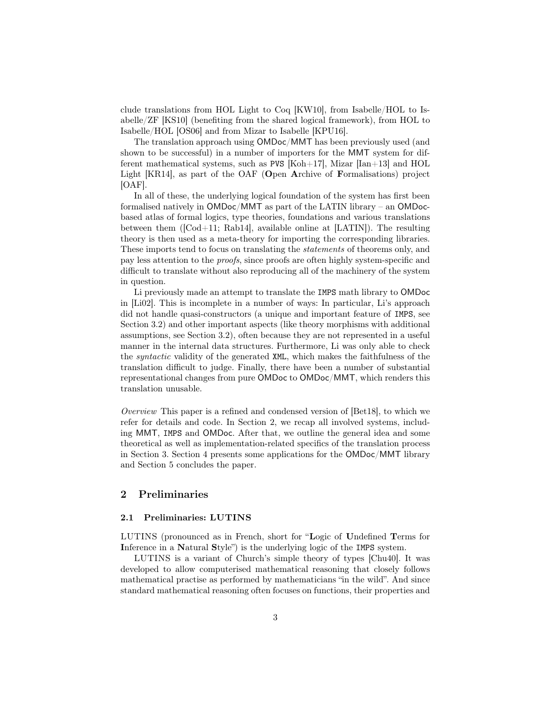clude translations from HOL Light to Coq [\[KW10\]](#page-15-2), from Isabelle/HOL to Isabelle/ZF [\[KS10\]](#page-15-3) (benefiting from the shared logical framework), from HOL to Isabelle/HOL [\[OS06\]](#page-15-4) and from Mizar to Isabelle [\[KPU16\]](#page-14-2).

The translation approach using OMDoc/MMT has been previously used (and shown to be successful) in a number of importers for the MMT system for different mathematical systems, such as PVS [\[Koh+17\]](#page-14-3), Mizar [\[Ian+13\]](#page-14-4) and HOL Light [\[KR14\]](#page-14-5), as part of the OAF (Open Archive of Formalisations) project  $[OAF]$ .

In all of these, the underlying logical foundation of the system has first been formalised natively in OMDoc/MMT as part of the LATIN library – an OMDocbased atlas of formal logics, type theories, foundations and various translations between them ([\[Cod+11;](#page-14-6) [Rab14\]](#page-15-6), available online at [\[LATIN\]](#page-15-7)). The resulting theory is then used as a meta-theory for importing the corresponding libraries. These imports tend to focus on translating the statements of theorems only, and pay less attention to the proofs, since proofs are often highly system-specific and difficult to translate without also reproducing all of the machinery of the system in question.

Li previously made an attempt to translate the IMPS math library to OMDoc in [\[Li02\]](#page-15-1). This is incomplete in a number of ways: In particular, Li's approach did not handle quasi-constructors (a unique and important feature of IMPS, see Section [3.2\)](#page-10-0) and other important aspects (like theory morphisms with additional assumptions, see Section [3.2\)](#page-11-0), often because they are not represented in a useful manner in the internal data structures. Furthermore, Li was only able to check the syntactic validity of the generated XML, which makes the faithfulness of the translation difficult to judge. Finally, there have been a number of substantial representational changes from pure OMDoc to OMDoc/MMT, which renders this translation unusable.

Overview This paper is a refined and condensed version of [\[Bet18\]](#page-13-0), to which we refer for details and code. In Section [2,](#page-2-1) we recap all involved systems, including MMT, IMPS and OMDoc. After that, we outline the general idea and some theoretical as well as implementation-related specifics of the translation process in Section [3.](#page-7-0) Section [4](#page-11-1) presents some applications for the OMDoc/MMT library and Section [5](#page-12-0) concludes the paper.

# <span id="page-2-1"></span>2 Preliminaries

#### <span id="page-2-0"></span>2.1 Preliminaries: LUTINS

LUTINS (pronounced as in French, short for "Logic of Undefined Terms for Inference in a Natural Style") is the underlying logic of the IMPS system.

LUTINS is a variant of Church's simple theory of types [\[Chu40\]](#page-14-7). It was developed to allow computerised mathematical reasoning that closely follows mathematical practise as performed by mathematicians "in the wild". And since standard mathematical reasoning often focuses on functions, their properties and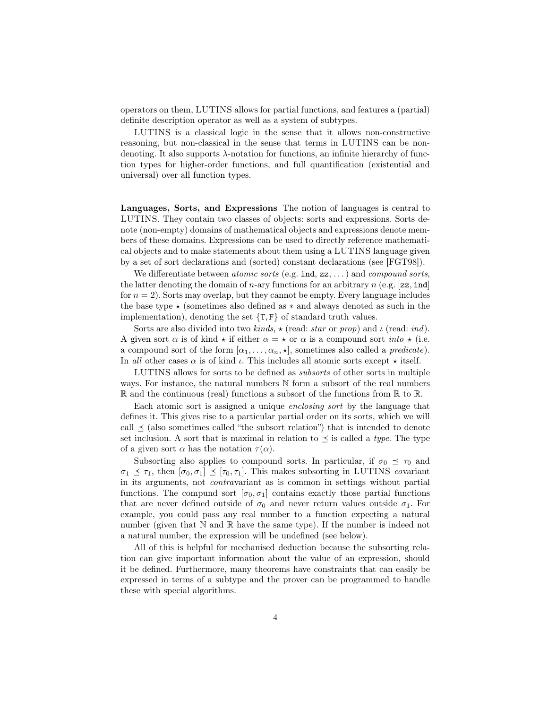operators on them, LUTINS allows for partial functions, and features a (partial) definite description operator as well as a system of subtypes.

LUTINS is a classical logic in the sense that it allows non-constructive reasoning, but non-classical in the sense that terms in LUTINS can be nondenoting. It also supports λ-notation for functions, an infinite hierarchy of function types for higher-order functions, and full quantification (existential and universal) over all function types.

Languages, Sorts, and Expressions The notion of languages is central to LUTINS. They contain two classes of objects: sorts and expressions. Sorts denote (non-empty) domains of mathematical objects and expressions denote members of these domains. Expressions can be used to directly reference mathematical objects and to make statements about them using a LUTINS language given by a set of sort declarations and (sorted) constant declarations (see [\[FGT98\]](#page-14-8)).

We differentiate between *atomic sorts* (e.g. ind,  $zz, \ldots$ ) and *compound sorts*. the latter denoting the domain of *n*-ary functions for an arbitrary  $n$  (e.g. [ $zz$ , ind] for  $n = 2$ ). Sorts may overlap, but they cannot be empty. Every language includes the base type  $\star$  (sometimes also defined as  $\ast$  and always denoted as such in the implementation), denoting the set  $\{T, F\}$  of standard truth values.

Sorts are also divided into two kinds,  $\star$  (read: star or prop) and  $\iota$  (read: ind). A given sort  $\alpha$  is of kind  $\star$  if either  $\alpha = \star$  or  $\alpha$  is a compound sort *into*  $\star$  (i.e. a compound sort of the form  $[\alpha_1, \ldots, \alpha_n, \star]$ , sometimes also called a *predicate*). In all other cases  $\alpha$  is of kind  $\iota$ . This includes all atomic sorts except  $\star$  itself.

LUTINS allows for sorts to be defined as subsorts of other sorts in multiple ways. For instance, the natural numbers N form a subsort of the real numbers  $\mathbb R$  and the continuous (real) functions a subsort of the functions from  $\mathbb R$  to  $\mathbb R$ .

Each atomic sort is assigned a unique enclosing sort by the language that defines it. This gives rise to a particular partial order on its sorts, which we will call  $\prec$  (also sometimes called "the subsort relation") that is intended to denote set inclusion. A sort that is maximal in relation to  $\preceq$  is called a type. The type of a given sort  $\alpha$  has the notation  $\tau(\alpha)$ .

Subsorting also applies to compound sorts. In particular, if  $\sigma_0 \preceq \tau_0$  and  $\sigma_1 \preceq \tau_1$ , then  $[\sigma_0, \sigma_1] \preceq [\tau_0, \tau_1]$ . This makes subsorting in LUTINS covariant in its arguments, not contravariant as is common in settings without partial functions. The compund sort  $[\sigma_0, \sigma_1]$  contains exactly those partial functions that are never defined outside of  $\sigma_0$  and never return values outside  $\sigma_1$ . For example, you could pass any real number to a function expecting a natural number (given that  $\mathbb N$  and  $\mathbb R$  have the same type). If the number is indeed not a natural number, the expression will be undefined (see below).

All of this is helpful for mechanised deduction because the subsorting relation can give important information about the value of an expression, should it be defined. Furthermore, many theorems have constraints that can easily be expressed in terms of a subtype and the prover can be programmed to handle these with special algorithms.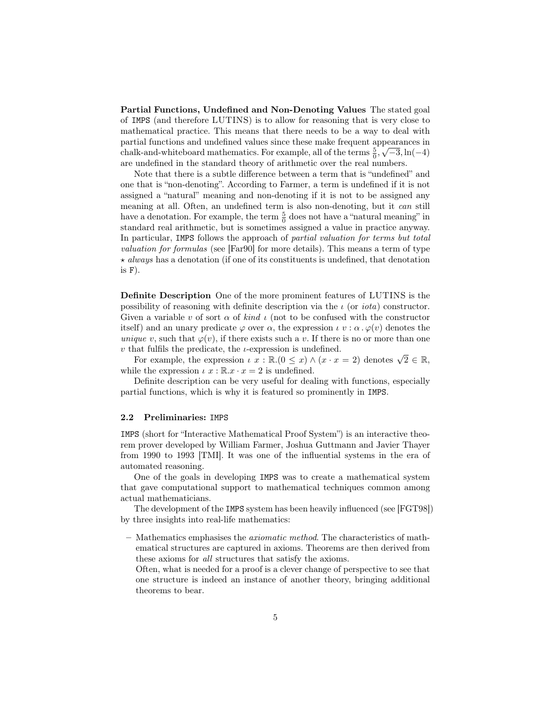Partial Functions, Undefined and Non-Denoting Values The stated goal of IMPS (and therefore LUTINS) is to allow for reasoning that is very close to mathematical practice. This means that there needs to be a way to deal with partial functions and undefined values since these make frequent appearances in chalk-and-whiteboard mathematics. For example, all of the terms  $\frac{5}{0}$ ,  $\sqrt{-3}$ , ln(-4) are undefined in the standard theory of arithmetic over the real numbers.

Note that there is a subtle difference between a term that is "undefined" and one that is "non-denoting". According to Farmer, a term is undefined if it is not assigned a "natural" meaning and non-denoting if it is not to be assigned any meaning at all. Often, an undefined term is also non-denoting, but it can still have a denotation. For example, the term  $\frac{5}{0}$  does not have a "natural meaning" in standard real arithmetic, but is sometimes assigned a value in practice anyway. In particular, IMPS follows the approach of partial valuation for terms but total valuation for formulas (see [\[Far90\]](#page-14-9) for more details). This means a term of type  $\star$  always has a denotation (if one of its constituents is undefined, that denotation is  $F$ ).

Definite Description One of the more prominent features of LUTINS is the possibility of reasoning with definite description via the  $\iota$  (or *iota*) constructor. Given a variable v of sort  $\alpha$  of kind  $\iota$  (not to be confused with the constructor itself) and an unary predicate  $\varphi$  over  $\alpha$ , the expression  $\iota v : \alpha \cdot \varphi(v)$  denotes the unique v, such that  $\varphi(v)$ , if there exists such a v. If there is no or more than one  $v$  that fulfils the predicate, the  $\iota$ -expression is undefined.

For example, the expression  $\iota x : \mathbb{R} \cdot (0 \leq x) \wedge (x \cdot x = 2)$  denotes  $\sqrt{2} \in \mathbb{R}$ , while the expression  $\iota x : \mathbb{R}.x \cdot x = 2$  is undefined.

Definite description can be very useful for dealing with functions, especially partial functions, which is why it is featured so prominently in IMPS.

#### 2.2 Preliminaries: IMPS

IMPS (short for "Interactive Mathematical Proof System") is an interactive theorem prover developed by William Farmer, Joshua Guttmann and Javier Thayer from 1990 to 1993 [\[TMI\]](#page-15-0). It was one of the influential systems in the era of automated reasoning.

One of the goals in developing IMPS was to create a mathematical system that gave computational support to mathematical techniques common among actual mathematicians.

The development of the IMPS system has been heavily influenced (see [\[FGT98\]](#page-14-8)) by three insights into real-life mathematics:

 $-$  Mathematics emphasises the *axiomatic method*. The characteristics of mathematical structures are captured in axioms. Theorems are then derived from these axioms for all structures that satisfy the axioms.

Often, what is needed for a proof is a clever change of perspective to see that one structure is indeed an instance of another theory, bringing additional theorems to bear.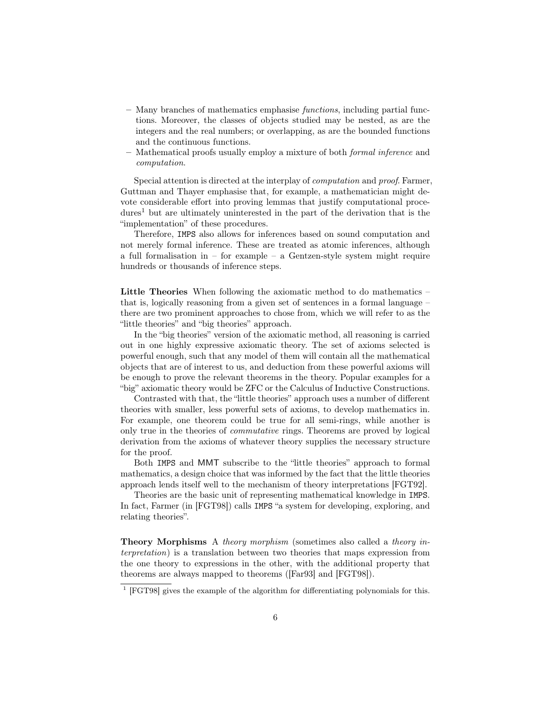- Many branches of mathematics emphasise functions, including partial functions. Moreover, the classes of objects studied may be nested, as are the integers and the real numbers; or overlapping, as are the bounded functions and the continuous functions.
- Mathematical proofs usually employ a mixture of both formal inference and computation.

Special attention is directed at the interplay of computation and proof. Farmer, Guttman and Thayer emphasise that, for example, a mathematician might devote considerable effort into proving lemmas that justify computational proce-dures<sup>[1](#page-5-0)</sup> but are ultimately uninterested in the part of the derivation that is the "implementation" of these procedures.

Therefore, IMPS also allows for inferences based on sound computation and not merely formal inference. These are treated as atomic inferences, although a full formalisation in – for example – a Gentzen-style system might require hundreds or thousands of inference steps.

Little Theories When following the axiomatic method to do mathematics  $$ that is, logically reasoning from a given set of sentences in a formal language – there are two prominent approaches to chose from, which we will refer to as the "little theories" and "big theories" approach.

In the "big theories" version of the axiomatic method, all reasoning is carried out in one highly expressive axiomatic theory. The set of axioms selected is powerful enough, such that any model of them will contain all the mathematical objects that are of interest to us, and deduction from these powerful axioms will be enough to prove the relevant theorems in the theory. Popular examples for a "big" axiomatic theory would be ZFC or the Calculus of Inductive Constructions.

Contrasted with that, the "little theories" approach uses a number of different theories with smaller, less powerful sets of axioms, to develop mathematics in. For example, one theorem could be true for all semi-rings, while another is only true in the theories of commutative rings. Theorems are proved by logical derivation from the axioms of whatever theory supplies the necessary structure for the proof.

Both IMPS and MMT subscribe to the "little theories" approach to formal mathematics, a design choice that was informed by the fact that the little theories approach lends itself well to the mechanism of theory interpretations [\[FGT92\]](#page-14-10).

Theories are the basic unit of representing mathematical knowledge in IMPS. In fact, Farmer (in [\[FGT98\]](#page-14-8)) calls IMPS "a system for developing, exploring, and relating theories".

Theory Morphisms A theory morphism (sometimes also called a theory interpretation) is a translation between two theories that maps expression from the one theory to expressions in the other, with the additional property that theorems are always mapped to theorems ([\[Far93\]](#page-14-11) and [\[FGT98\]](#page-14-8)).

<span id="page-5-0"></span><sup>&</sup>lt;sup>1</sup> [\[FGT98\]](#page-14-8) gives the example of the algorithm for differentiating polynomials for this.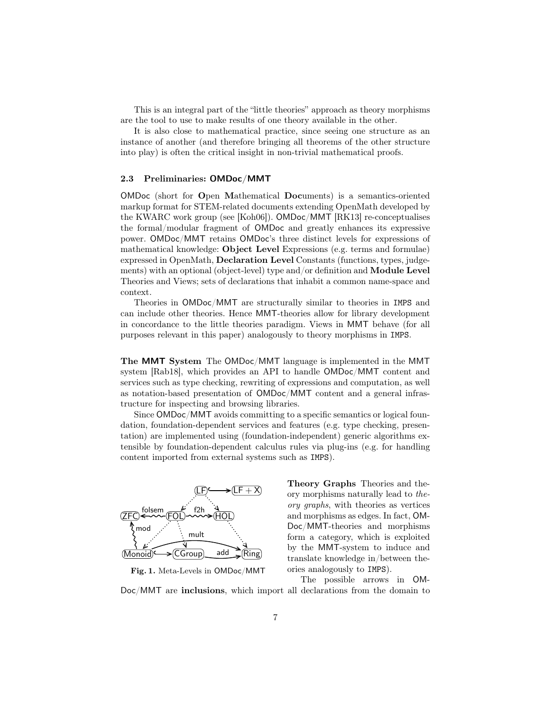This is an integral part of the "little theories" approach as theory morphisms are the tool to use to make results of one theory available in the other.

It is also close to mathematical practice, since seeing one structure as an instance of another (and therefore bringing all theorems of the other structure into play) is often the critical insight in non-trivial mathematical proofs.

#### 2.3 Preliminaries: OMDoc/MMT

OMDoc (short for Open Mathematical Documents) is a semantics-oriented markup format for STEM-related documents extending OpenMath developed by the KWARC work group (see [\[Koh06\]](#page-14-0)). OMDoc/MMT [\[RK13\]](#page-15-8) re-conceptualises the formal/modular fragment of OMDoc and greatly enhances its expressive power. OMDoc/MMT retains OMDoc's three distinct levels for expressions of mathematical knowledge: Object Level Expressions (e.g. terms and formulae) expressed in OpenMath, Declaration Level Constants (functions, types, judgements) with an optional (object-level) type and/or definition and Module Level Theories and Views; sets of declarations that inhabit a common name-space and context.

Theories in OMDoc/MMT are structurally similar to theories in IMPS and can include other theories. Hence MMT-theories allow for library development in concordance to the little theories paradigm. Views in MMT behave (for all purposes relevant in this paper) analogously to theory morphisms in IMPS.

The MMT System The OMDoc/MMT language is implemented in the MMT system [\[Rab18\]](#page-15-9), which provides an API to handle OMDoc/MMT content and services such as type checking, rewriting of expressions and computation, as well as notation-based presentation of OMDoc/MMT content and a general infrastructure for inspecting and browsing libraries.

Since OMDoc/MMT avoids committing to a specific semantics or logical foundation, foundation-dependent services and features (e.g. type checking, presentation) are implemented using (foundation-independent) generic algorithms extensible by foundation-dependent calculus rules via plug-ins (e.g. for handling content imported from external systems such as IMPS).



<span id="page-6-0"></span>Fig. 1. Meta-Levels in OMDoc/MMT

Theory Graphs Theories and theory morphisms naturally lead to theory graphs, with theories as vertices and morphisms as edges. In fact, OM-Doc/MMT-theories and morphisms form a category, which is exploited by the MMT-system to induce and translate knowledge in/between theories analogously to IMPS). The possible arrows in OM-

Doc/MMT are inclusions, which import all declarations from the domain to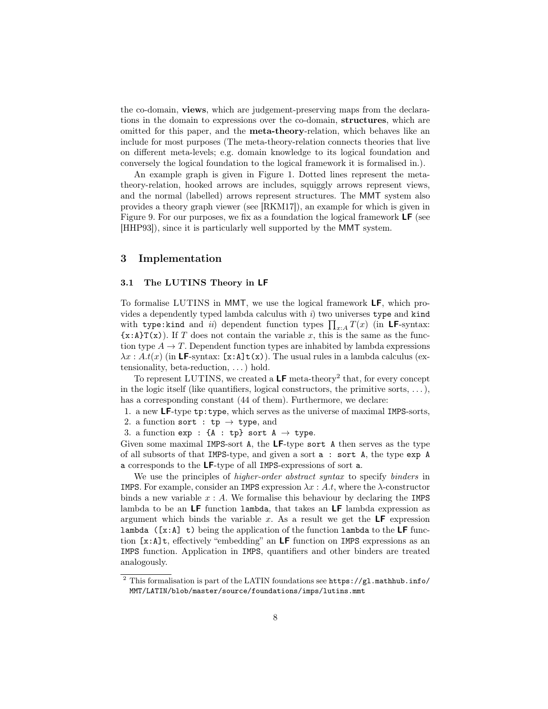the co-domain, views, which are judgement-preserving maps from the declarations in the domain to expressions over the co-domain, structures, which are omitted for this paper, and the meta-theory-relation, which behaves like an include for most purposes (The meta-theory-relation connects theories that live on different meta-levels; e.g. domain knowledge to its logical foundation and conversely the logical foundation to the logical framework it is formalised in.).

An example graph is given in Figure [1.](#page-6-0) Dotted lines represent the metatheory-relation, hooked arrows are includes, squiggly arrows represent views, and the normal (labelled) arrows represent structures. The MMT system also provides a theory graph viewer (see [\[RKM17\]](#page-15-10)), an example for which is given in Figure [9.](#page-13-1) For our purposes, we fix as a foundation the logical framework LF (see [\[HHP93\]](#page-14-1)), since it is particularly well supported by the MMT system.

# <span id="page-7-0"></span>3 Implementation

### 3.1 The LUTINS Theory in LF

To formalise LUTINS in MMT, we use the logical framework LF, which provides a dependently typed lambda calculus with  $i$ ) two universes type and kind with type: kind and *ii*) dependent function types  $\prod_{x:A} T(x)$  (in LF-syntax:  ${x: A}T(x)$ . If T does not contain the variable x, this is the same as the function type  $A \to T$ . Dependent function types are inhabited by lambda expressions  $\lambda x : A.t(x)$  (in LF-syntax: [x:A]t(x)). The usual rules in a lambda calculus (extensionality, beta-reduction, . . . ) hold.

To represent LUTINS, we created a  $LF$  meta-theory<sup>[2](#page-7-1)</sup> that, for every concept in the logic itself (like quantifiers, logical constructors, the primitive sorts,  $\dots$ ), has a corresponding constant (44 of them). Furthermore, we declare:

- 1. a new  $LF$ -type  $tp:type$ , which serves as the universe of maximal IMPS-sorts,
- 2. a function sort :  $tp \rightarrow type$ , and
- 3. a function exp : {A : tp} sort  $A \rightarrow$  type.

Given some maximal IMPS-sort A, the LF-type sort A then serves as the type of all subsorts of that IMPS-type, and given a sort a : sort A, the type exp A a corresponds to the LF-type of all IMPS-expressions of sort a.

We use the principles of *higher-order abstract syntax* to specify *binders* in IMPS. For example, consider an IMPS expression  $\lambda x : A.t$ , where the  $\lambda$ -constructor binds a new variable  $x : A$ . We formalise this behaviour by declaring the IMPS lambda to be an LF function lambda, that takes an LF lambda expression as argument which binds the variable x. As a result we get the  $LF$  expression lambda ( $[x:A]$  t) being the application of the function lambda to the LF function  $[x \cdot A]$ t, effectively "embedding" an **LF** function on IMPS expressions as an IMPS function. Application in IMPS, quantifiers and other binders are treated analogously.

<span id="page-7-1"></span> $^2$  This formalisation is part of the LATIN foundations see  $\texttt{https://gl.mathub.info/}$ [MMT/LATIN/blob/master/source/foundations/imps/lutins.mmt](https://gl.mathhub.info/MMT/LATIN/blob/master/source/foundations/imps/lutins.mmt)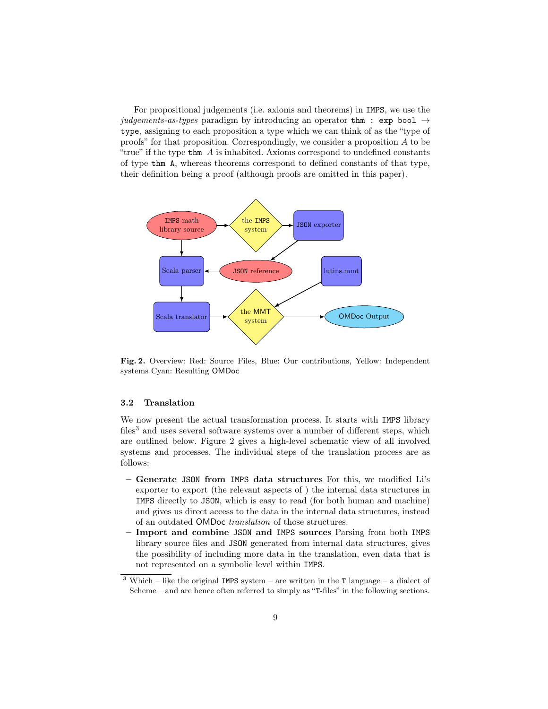For propositional judgements (i.e. axioms and theorems) in IMPS, we use the judgements-as-types paradigm by introducing an operator thm : exp bool  $\rightarrow$ type, assigning to each proposition a type which we can think of as the "type of proofs" for that proposition. Correspondingly, we consider a proposition A to be "true" if the type  $\tan A$  is inhabited. Axioms correspond to undefined constants of type thm A, whereas theorems correspond to defined constants of that type, their definition being a proof (although proofs are omitted in this paper).



<span id="page-8-1"></span>Fig. 2. Overview: Red: Source Files, Blue: Our contributions, Yellow: Independent systems Cyan: Resulting OMDoc

### 3.2 Translation

We now present the actual transformation process. It starts with IMPS library files<sup>[3](#page-8-0)</sup> and uses several software systems over a number of different steps, which are outlined below. Figure [2](#page-8-1) gives a high-level schematic view of all involved systems and processes. The individual steps of the translation process are as follows:

- Generate JSON from IMPS data structures For this, we modified Li's exporter to export (the relevant aspects of ) the internal data structures in IMPS directly to JSON, which is easy to read (for both human and machine) and gives us direct access to the data in the internal data structures, instead of an outdated OMDoc translation of those structures.
- Import and combine JSON and IMPS sources Parsing from both IMPS library source files and JSON generated from internal data structures, gives the possibility of including more data in the translation, even data that is not represented on a symbolic level within IMPS.

<span id="page-8-0"></span> $3$  Which – like the original IMPS system – are written in the T language – a dialect of Scheme – and are hence often referred to simply as "T-files" in the following sections.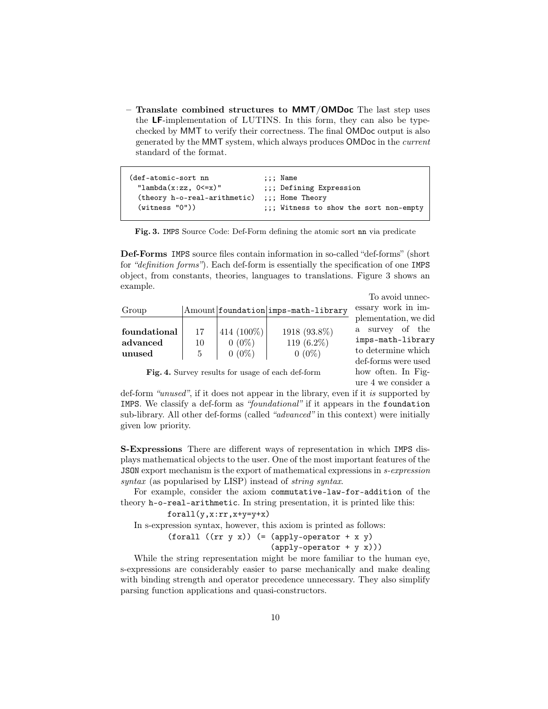– Translate combined structures to  $MMT/OMDoc$  The last step uses the LF-implementation of LUTINS. In this form, they can also be typechecked by MMT to verify their correctness. The final OMDoc output is also generated by the MMT system, which always produces OMDoc in the current standard of the format.

```
(def-atomic-sort nn ;;; Name<br>"lambda(x:zz, 0<=x)" ;;; Defi
                                   ;;; Defining Expression
 (theory h-o-real-arithmetic) ;;; Home Theory
 (witness "0")) \hspace{1.6cm} ;;; Witness to show the sort non-empty
```
<span id="page-9-0"></span>Fig. 3. IMPS Source Code: Def-Form defining the atomic sort nn via predicate

Def-Forms IMPS source files contain information in so-called "def-forms" (short for "definition forms"). Each def-form is essentially the specification of one IMPS object, from constants, theories, languages to translations. Figure [3](#page-9-0) shows an example.

| Group        |    |               | $ Amount $ foundation $ imps-math-library $ |
|--------------|----|---------------|---------------------------------------------|
| foundational | 17 | 414 $(100\%)$ | 1918 (93.8%)                                |
| advanced     | 10 | $0(0\%)$      | 119 (6.2%)                                  |
| unused       | 5  | $0(0\%)$      | $0(0\%)$                                    |

To avoid unnecessary work in implementation, we did a survey of the imps-math-library to determine which def-forms were used how often. In Figure [4](#page-9-1) we consider a

<span id="page-9-1"></span>Fig. 4. Survey results for usage of each def-form

def-form "unused", if it does not appear in the library, even if it is supported by IMPS. We classify a def-form as "foundational" if it appears in the foundation sub-library. All other def-forms (called "advanced" in this context) were initially given low priority.

S-Expressions There are different ways of representation in which IMPS displays mathematical objects to the user. One of the most important features of the JSON export mechanism is the export of mathematical expressions in s-expression syntax (as popularised by LISP) instead of *string syntax*.

For example, consider the axiom commutative-law-for-addition of the theory h-o-real-arithmetic. In string presentation, it is printed like this:

```
for all(y, x:rr, x+y=y+x)
```
In s-expression syntax, however, this axiom is printed as follows:

(forall  $((rr y x))$  (= (apply-operator + x y) (apply-operator + y x)))

While the string representation might be more familiar to the human eye, s-expressions are considerably easier to parse mechanically and make dealing with binding strength and operator precedence unnecessary. They also simplify parsing function applications and quasi-constructors.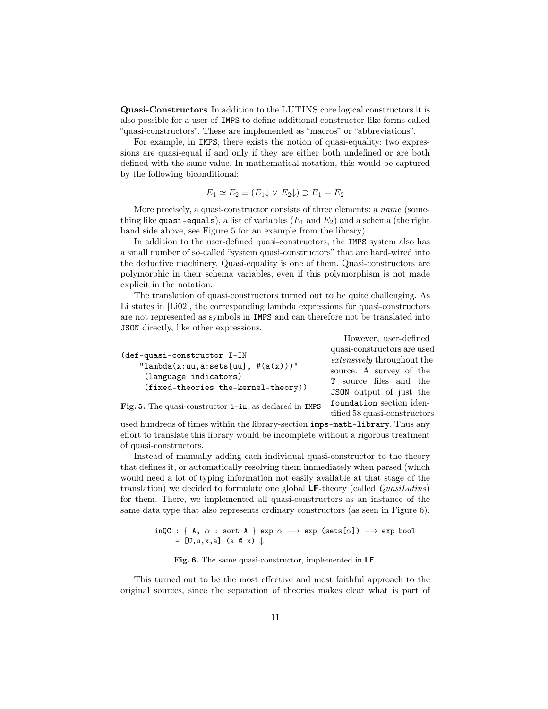<span id="page-10-0"></span>Quasi-Constructors In addition to the LUTINS core logical constructors it is also possible for a user of IMPS to define additional constructor-like forms called "quasi-constructors". These are implemented as "macros" or "abbreviations".

For example, in IMPS, there exists the notion of quasi-equality: two expressions are quasi-equal if and only if they are either both undefined or are both defined with the same value. In mathematical notation, this would be captured by the following biconditional:

$$
E_1 \simeq E_2 \equiv (E_1 \downarrow \vee E_2 \downarrow) \supset E_1 = E_2
$$

More precisely, a quasi-constructor consists of three elements: a *name* (something like quasi-equals), a list of variables  $(E_1 \text{ and } E_2)$  and a schema (the right hand side above, see Figure [5](#page-10-1) for an example from the library).

In addition to the user-defined quasi-constructors, the IMPS system also has a small number of so-called "system quasi-constructors" that are hard-wired into the deductive machinery. Quasi-equality is one of them. Quasi-constructors are polymorphic in their schema variables, even if this polymorphism is not made explicit in the notation.

The translation of quasi-constructors turned out to be quite challenging. As Li states in [\[Li02\]](#page-15-1), the corresponding lambda expressions for quasi-constructors are not represented as symbols in IMPS and can therefore not be translated into JSON directly, like other expressions.

|                                                                                                                                         | However, user-defined                                                                                                                            |
|-----------------------------------------------------------------------------------------------------------------------------------------|--------------------------------------------------------------------------------------------------------------------------------------------------|
| (def-quasi-constructor I-IN<br>"lambda $(x:uu, a:sets[uu], \#(a(x)))$ "<br>(language indicators)<br>(fixed-theories the-kernel-theory)) | quasi-constructors are used<br><i>extensively</i> throughout the<br>source. A survey of the<br>T source files and the<br>JSON output of just the |
| $F^*$ $\alpha$ $F$ . The success construction $f$ is a so-declared in TMDC.                                                             | foundation section iden-                                                                                                                         |

<span id="page-10-1"></span>Fig. 5. The quasi-constructor i-in, as declared in IMPS

used hundreds of times within the library-section imps-math-library. Thus any effort to translate this library would be incomplete without a rigorous treatment of quasi-constructors.

tified 58 quasi-constructors

Instead of manually adding each individual quasi-constructor to the theory that defines it, or automatically resolving them immediately when parsed (which would need a lot of typing information not easily available at that stage of the translation) we decided to formulate one global  $LF$ -theory (called  $QuasiLutins$ ) for them. There, we implemented all quasi-constructors as an instance of the same data type that also represents ordinary constructors (as seen in Figure [6\)](#page-10-2).

> $\texttt{inQC} : \{ A, \alpha : \texttt{sort} A \} \texttt{exp} \alpha \longrightarrow \texttt{exp} \texttt{ (sets[}\alpha \texttt{]) } \longrightarrow \texttt{exp} \texttt{bool}$  $=$  [U,u,x,a] (a  $@x) \downarrow$

<span id="page-10-2"></span>Fig. 6. The same quasi-constructor, implemented in LF

This turned out to be the most effective and most faithful approach to the original sources, since the separation of theories makes clear what is part of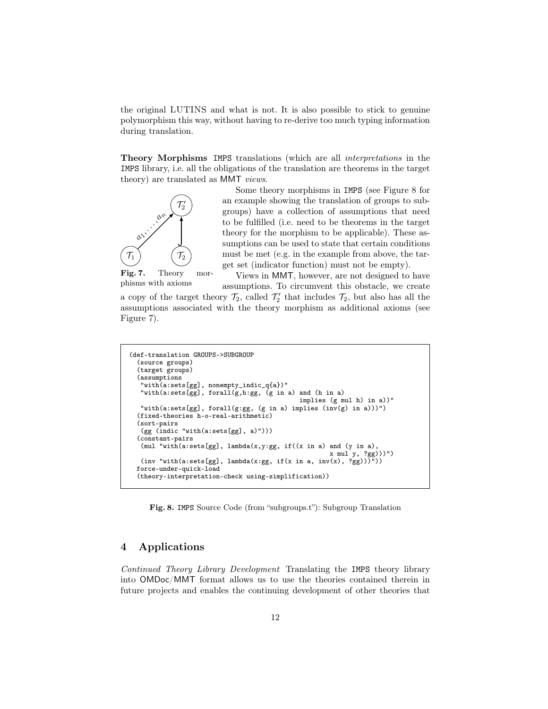the original LUTINS and what is not. It is also possible to stick to genuine polymorphism this way, without having to re-derive too much typing information during translation.

<span id="page-11-0"></span>Theory Morphisms IMPS translations (which are all interpretations in the IMPS library, i.e. all the obligations of the translation are theorems in the target theory) are translated as MMT views.



Some theory morphisms in IMPS (see Figure [8](#page-11-2) for an example showing the translation of groups to subgroups) have a collection of assumptions that need to be fulfilled (i.e. need to be theorems in the target theory for the morphism to be applicable). These assumptions can be used to state that certain conditions must be met (e.g. in the example from above, the target set (indicator function) must not be empty).

<span id="page-11-3"></span>Fig. 7. Theory morphisms with axioms

Views in MMT, however, are not designed to have assumptions. To circumvent this obstacle, we create

a copy of the target theory  $\mathcal{T}_2$ , called  $\mathcal{T}'_2$  that includes  $\mathcal{T}_2$ , but also has all the assumptions associated with the theory morphism as additional axioms (see Figure [7\)](#page-11-3).

```
(def-translation GROUPS->SUBGROUP
 (source groups)
 (target groups)
 (assumptions
  "with(a:sets[gg], nonempty_indic_q{a})"
 "with(a:sets[gg], forall(g,h:gg, (g in a) and (h in a)
                                             implies (g mul h) in a))"
 "with(a:sets[gg], forall(g:gg, (g in a) implies (inv(g) in a)))")
 (fixed-theories h-o-real-arithmetic)
 (sort-pairs
 (gg (indic "with(a:sets[gg], a)")))
 (constant-pairs
 (mul "with(a:sets[gg], lambda(x,y:gg, if((x in a) and (y in a),
                                                     x mul y, ?gg)))")
 (inv "with(a:sets[gg], lambda(x:gg, if(x in a, inv(x), ?gg))\bar{J}^{n}))
force-under-quick-load
 (theory-interpretation-check using-simplification))
```
<span id="page-11-2"></span>Fig. 8. IMPS Source Code (from "subgroups.t"): Subgroup Translation

# <span id="page-11-1"></span>4 Applications

Continued Theory Library Development Translating the IMPS theory library into OMDoc/MMT format allows us to use the theories contained therein in future projects and enables the continuing development of other theories that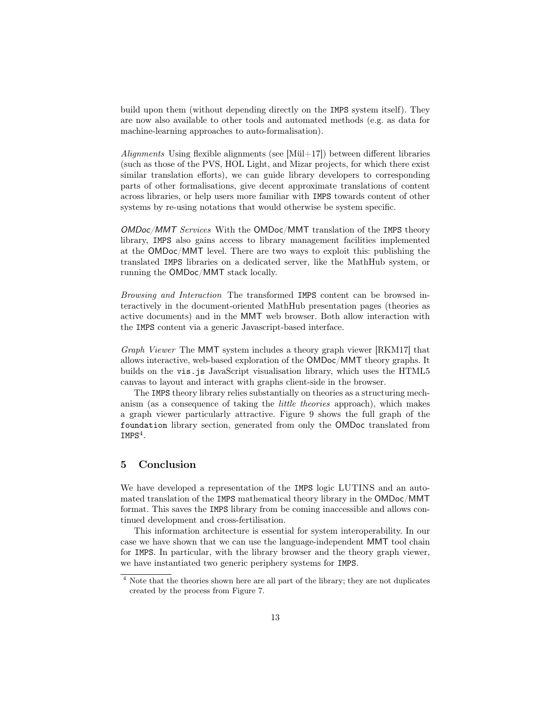build upon them (without depending directly on the IMPS system itself). They are now also available to other tools and automated methods (e.g. as data for machine-learning approaches to auto-formalisation).

*Alignments* Using flexible alignments (see [\[Mül+17\]](#page-15-11)) between different libraries (such as those of the PVS, HOL Light, and Mizar projects, for which there exist similar translation efforts), we can guide library developers to corresponding parts of other formalisations, give decent approximate translations of content across libraries, or help users more familiar with IMPS towards content of other systems by re-using notations that would otherwise be system specific.

OMDoc/MMT Services With the OMDoc/MMT translation of the IMPS theory library, IMPS also gains access to library management facilities implemented at the OMDoc/MMT level. There are two ways to exploit this: publishing the translated IMPS libraries on a dedicated server, like the MathHub system, or running the OMDoc/MMT stack locally.

Browsing and Interaction The transformed IMPS content can be browsed interactively in the document-oriented MathHub presentation pages (theories as active documents) and in the MMT web browser. Both allow interaction with the IMPS content via a generic Javascript-based interface.

Graph Viewer The MMT system includes a theory graph viewer [\[RKM17\]](#page-15-10) that allows interactive, web-based exploration of the OMDoc/MMT theory graphs. It builds on the vis.js JavaScript visualisation library, which uses the HTML5 canvas to layout and interact with graphs client-side in the browser.

The IMPS theory library relies substantially on theories as a structuring mechanism (as a consequence of taking the little theories approach), which makes a graph viewer particularly attractive. Figure [9](#page-13-1) shows the full graph of the foundation library section, generated from only the OMDoc translated from  $IMPS<sup>4</sup>$  $IMPS<sup>4</sup>$  $IMPS<sup>4</sup>$ .

# <span id="page-12-0"></span>5 Conclusion

We have developed a representation of the IMPS logic LUTINS and an automated translation of the IMPS mathematical theory library in the OMDoc/MMT format. This saves the IMPS library from be coming inaccessible and allows continued development and cross-fertilisation.

This information architecture is essential for system interoperability. In our case we have shown that we can use the language-independent MMT tool chain for IMPS. In particular, with the library browser and the theory graph viewer, we have instantiated two generic periphery systems for IMPS.

<span id="page-12-1"></span><sup>&</sup>lt;sup>4</sup> Note that the theories shown here are all part of the library; they are not duplicates created by the process from Figure [7.](#page-11-3)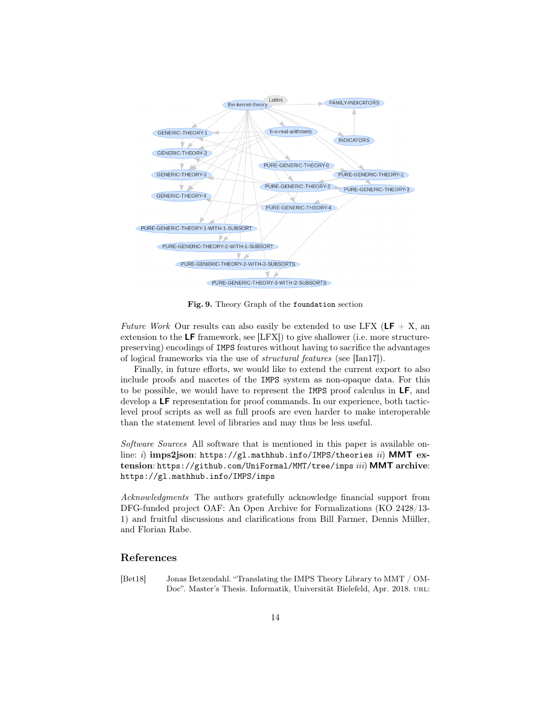

<span id="page-13-1"></span>Fig. 9. Theory Graph of the foundation section

Future Work Our results can also easily be extended to use LFX  $(LF + X, an)$ extension to the LF framework, see [\[LFX\]](#page-15-12)) to give shallower (i.e. more structurepreserving) encodings of IMPS features without having to sacrifice the advantages of logical frameworks via the use of structural features (see [\[Ian17\]](#page-14-12)).

Finally, in future efforts, we would like to extend the current export to also include proofs and macetes of the IMPS system as non-opaque data. For this to be possible, we would have to represent the IMPS proof calculus in LF, and develop a LF representation for proof commands. In our experience, both tacticlevel proof scripts as well as full proofs are even harder to make interoperable than the statement level of libraries and may thus be less useful.

Software Sources All software that is mentioned in this paper is available online: i) imps2json: <https://gl.mathhub.info/IMPS/theories> ii) MMT extension: <https://github.com/UniFormal/MMT/tree/imps>  $iii)$  MMT archive: <https://gl.mathhub.info/IMPS/imps>

Acknowledgments The authors gratefully acknowledge financial support from DFG-funded project OAF: An Open Archive for Formalizations (KO 2428/13- 1) and fruitful discussions and clarifications from Bill Farmer, Dennis Müller, and Florian Rabe.

# References

<span id="page-13-0"></span>[Bet18] Jonas Betzendahl. "Translating the IMPS Theory Library to MMT / OM-Doc". Master's Thesis. Informatik, Universität Bielefeld, Apr. 2018. url: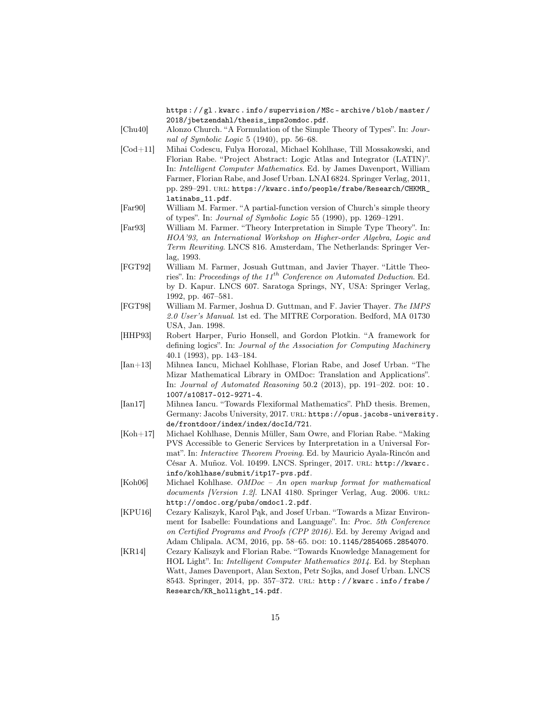[https : / / gl . kwarc . info / supervision / MSc - archive / blob / master /](https://gl.kwarc.info/supervision/MSc-archive/blob/master/2018/jbetzendahl/thesis_imps2omdoc.pdf) [2018/jbetzendahl/thesis\\_imps2omdoc.pdf](https://gl.kwarc.info/supervision/MSc-archive/blob/master/2018/jbetzendahl/thesis_imps2omdoc.pdf).

- <span id="page-14-7"></span>[Chu40] Alonzo Church. "A Formulation of the Simple Theory of Types". In: Journal of Symbolic Logic 5 (1940), pp. 56–68.
- <span id="page-14-6"></span>[Cod+11] Mihai Codescu, Fulya Horozal, Michael Kohlhase, Till Mossakowski, and Florian Rabe. "Project Abstract: Logic Atlas and Integrator (LATIN)". In: Intelligent Computer Mathematics. Ed. by James Davenport, William Farmer, Florian Rabe, and Josef Urban. LNAI 6824. Springer Verlag, 2011, pp. 289–291. url: [https://kwarc.info/people/frabe/Research/CHKMR\\_](https://kwarc.info/people/frabe/Research/CHKMR_latinabs_11.pdf) [latinabs\\_11.pdf](https://kwarc.info/people/frabe/Research/CHKMR_latinabs_11.pdf).
- <span id="page-14-9"></span>[Far90] William M. Farmer. "A partial-function version of Church's simple theory of types". In: Journal of Symbolic Logic 55 (1990), pp. 1269–1291.
- <span id="page-14-11"></span>[Far93] William M. Farmer. "Theory Interpretation in Simple Type Theory". In: HOA'93, an International Workshop on Higher-order Algebra, Logic and Term Rewriting. LNCS 816. Amsterdam, The Netherlands: Springer Verlag, 1993.
- <span id="page-14-10"></span>[FGT92] William M. Farmer, Josuah Guttman, and Javier Thayer. "Little Theories". In: Proceedings of the  $11^{th}$  Conference on Automated Deduction. Ed. by D. Kapur. LNCS 607. Saratoga Springs, NY, USA: Springer Verlag, 1992, pp. 467–581.
- <span id="page-14-8"></span>[FGT98] William M. Farmer, Joshua D. Guttman, and F. Javier Thayer. The IMPS 2.0 User's Manual. 1st ed. The MITRE Corporation. Bedford, MA 01730 USA, Jan. 1998.
- <span id="page-14-1"></span>[HHP93] Robert Harper, Furio Honsell, and Gordon Plotkin. "A framework for defining logics". In: Journal of the Association for Computing Machinery 40.1 (1993), pp. 143–184.
- <span id="page-14-4"></span>[Ian+13] Mihnea Iancu, Michael Kohlhase, Florian Rabe, and Josef Urban. "The Mizar Mathematical Library in OMDoc: Translation and Applications". In: *Journal of Automated Reasoning* 50.2 (2013), pp. 191-202. DOI: [10.](https://doi.org/10.1007/s10817-012-9271-4) [1007/s10817-012-9271-4](https://doi.org/10.1007/s10817-012-9271-4).
- <span id="page-14-12"></span>[Ian17] Mihnea Iancu. "Towards Flexiformal Mathematics". PhD thesis. Bremen, Germany: Jacobs University, 2017. url: [https://opus.jacobs-university](https://opus.jacobs-university.de/frontdoor/index/index/docId/721). [de/frontdoor/index/index/docId/721](https://opus.jacobs-university.de/frontdoor/index/index/docId/721).
- <span id="page-14-3"></span>[Koh+17] Michael Kohlhase, Dennis Müller, Sam Owre, and Florian Rabe. "Making PVS Accessible to Generic Services by Interpretation in a Universal Format". In: Interactive Theorem Proving. Ed. by Mauricio Ayala-Rincón and César A. Muñoz. Vol. 10499. LNCS. Springer, 2017. url: [http://kwarc.](http://kwarc.info/kohlhase/submit/itp17-pvs.pdf) [info/kohlhase/submit/itp17-pvs.pdf](http://kwarc.info/kohlhase/submit/itp17-pvs.pdf).
- <span id="page-14-0"></span>[Koh06] Michael Kohlhase. OMDoc – An open markup format for mathematical documents [Version 1.2]. LNAI 4180. Springer Verlag, Aug. 2006. URL: <http://omdoc.org/pubs/omdoc1.2.pdf>.
- <span id="page-14-2"></span>[KPU16] Cezary Kaliszyk, Karol Pąk, and Josef Urban. "Towards a Mizar Environment for Isabelle: Foundations and Language". In: Proc. 5th Conference on Certified Programs and Proofs (CPP 2016). Ed. by Jeremy Avigad and Adam Chlipala. ACM, 2016, pp. 58-65. DOI: [10.1145/2854065.2854070](https://doi.org/10.1145/2854065.2854070).
- <span id="page-14-5"></span>[KR14] Cezary Kaliszyk and Florian Rabe. "Towards Knowledge Management for HOL Light". In: Intelligent Computer Mathematics 2014. Ed. by Stephan Watt, James Davenport, Alan Sexton, Petr Sojka, and Josef Urban. LNCS 8543. Springer, 2014, pp. 357-372. URL: http://kwarc.info/frabe/ [Research/KR\\_hollight\\_14.pdf](http://kwarc.info/frabe/Research/KR_hollight_14.pdf).